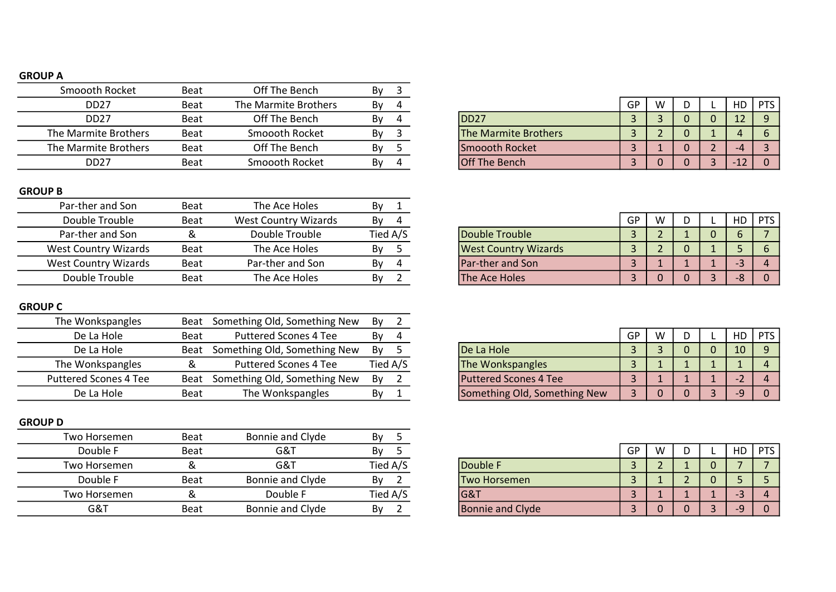## GROUP A

| Smoooth Rocket       | <b>Beat</b> | Off The Bench        | Bv |                             |    |   |  |  |
|----------------------|-------------|----------------------|----|-----------------------------|----|---|--|--|
| DD <sub>27</sub>     | <b>Beat</b> | The Marmite Brothers | Bv |                             | GP | W |  |  |
| DD <sub>27</sub>     | <b>Beat</b> | Off The Bench        | Bv | IDD <sub>27</sub>           |    |   |  |  |
| The Marmite Brothers | <b>Beat</b> | Smoooth Rocket       | By | <b>The Marmite Brothers</b> |    |   |  |  |
| The Marmite Brothers | <b>Beat</b> | Off The Bench        | By | Smoooth Rocket              |    |   |  |  |
| <b>DD27</b>          | <b>Beat</b> | Smoooth Rocket       | Bv | <b>Off The Bench</b>        |    |   |  |  |

## GROUP B

| Par-ther and Son     | Beat        | The Ace Holes        | Bv       |                             |    |   |  |    |            |
|----------------------|-------------|----------------------|----------|-----------------------------|----|---|--|----|------------|
| Double Trouble       | <b>Beat</b> | West Country Wizards | By       |                             | GP | W |  | НD | <b>PTS</b> |
| Par-ther and Son     |             | Double Trouble       | Tied A/S | Double Trouble              |    |   |  |    |            |
| West Country Wizards | <b>Beat</b> | The Ace Holes        | Bv       | <b>West Country Wizards</b> |    |   |  |    |            |
| West Country Wizards | Beat        | Par-ther and Son     | Bv       | <b>Par-ther and Son</b>     |    |   |  |    |            |
| Double Trouble       | <b>Beat</b> | The Ace Holes        | Bv       | The Ace Holes               |    |   |  |    |            |

## GROUP C

| The Wonkspangles             | Beat        | Something Old, Something New | By |          |                              |    |   |  |     |          |
|------------------------------|-------------|------------------------------|----|----------|------------------------------|----|---|--|-----|----------|
| De La Hole                   | Beat        | <b>Puttered Scones 4 Tee</b> | Bv |          |                              | GP | W |  | HD. | PTS      |
| De La Hole                   | Beat        | Something Old, Something New | By |          | De La Hole                   |    |   |  | 10  | <b>Q</b> |
| The Wonkspangles             |             | <b>Puttered Scones 4 Tee</b> |    | Tied A/S | The Wonkspangles             |    |   |  |     |          |
| <b>Puttered Scones 4 Tee</b> | Beat        | Something Old, Something New | By |          | <b>Puttered Scones 4 Tee</b> |    |   |  |     |          |
| De La Hole                   | <b>Beat</b> | The Wonkspangles             | By |          | Something Old, Something New |    |   |  |     |          |

## GROUP D

| Two Horsemen | <b>Beat</b> | Bonnie and Clyde | Bv       |                         |    |   |  |       |
|--------------|-------------|------------------|----------|-------------------------|----|---|--|-------|
| Double F     | <b>Beat</b> | G&T              | By       |                         | GP | W |  | ' PTS |
| Two Horsemen |             | G&T              | Tied A/S | Double F                |    |   |  |       |
| Double F     | Beat        | Bonnie and Clyde | By       | <b>Two Horsemen</b>     |    |   |  |       |
| Two Horsemen |             | Double F         | Tied A/S | <b>G&amp;T</b>          |    |   |  | 4     |
| G&T          | Beat        | Bonnie and Clyde | By       | <b>Bonnie and Clyde</b> |    |   |  |       |
|              |             |                  |          |                         |    |   |  |       |

| Beat | The Marmite Brothers | Bv<br>4 |                             | GP | W | - | HD   | PTS |
|------|----------------------|---------|-----------------------------|----|---|---|------|-----|
| Beat | Off The Bench        | Bv<br>4 | IDD <sub>27</sub>           |    |   |   | ∸    |     |
| Beat | Smoooth Rocket       | Bv      | <b>The Marmite Brothers</b> |    |   |   |      |     |
| Beat | Off The Bench        | Bv      | <b>Smoooth Rocket</b>       |    |   |   |      |     |
| Beat | Smoooth Rocket       | Bv<br>4 | <b>Off The Bench</b>        |    |   |   | ELZ. |     |
|      |                      |         |                             |    |   |   |      |     |

| Double Trouble              |   |  |  |  |
|-----------------------------|---|--|--|--|
| <b>West Country Wizards</b> | ∍ |  |  |  |
| Par-ther and Son            | ∍ |  |  |  |
| The Ace Holes               |   |  |  |  |

|                              |  |  | НC |  |
|------------------------------|--|--|----|--|
| De La Hole                   |  |  | 10 |  |
| The Wonkspangles             |  |  |    |  |
| Puttered Scones 4 Tee        |  |  |    |  |
| Something Old, Something New |  |  |    |  |

|                  | GP | W |  |    |  |
|------------------|----|---|--|----|--|
| Double F         |    |   |  |    |  |
| Two Horsemen     |    |   |  |    |  |
| G&T              |    |   |  | -3 |  |
| Bonnie and Clyde |    |   |  | -o |  |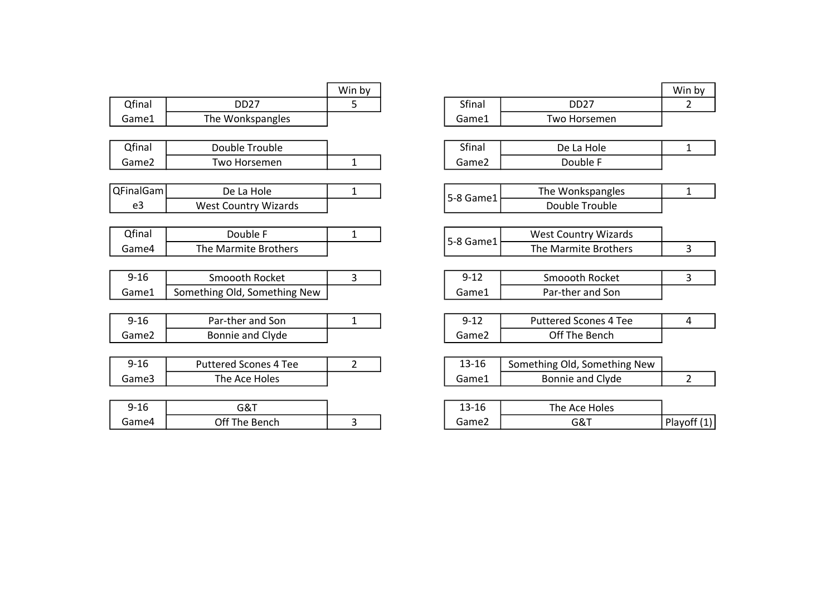|           |                              | Win by         |                   |                            |
|-----------|------------------------------|----------------|-------------------|----------------------------|
| Qfinal    | <b>DD27</b>                  | 5.             | Sfinal            | <b>DD27</b>                |
| Game1     | The Wonkspangles             |                | Game1             | Two Horsemen               |
|           |                              |                |                   |                            |
| Qfinal    | Double Trouble               |                | Sfinal            | De La Hole                 |
| Game2     | Two Horsemen                 | $\mathbf{1}$   | Game2             | Double F                   |
|           |                              |                |                   |                            |
| QFinalGam | De La Hole                   | $\mathbf{1}$   | 5-8 Game1         | The Wonkspangle:           |
| e3        | <b>West Country Wizards</b>  |                |                   | Double Trouble             |
|           |                              |                |                   |                            |
| Qfinal    | Double F                     | $\mathbf{1}$   | 5-8 Game1         | <b>West Country Wizar</b>  |
| Game4     | <b>The Marmite Brothers</b>  |                |                   | The Marmite Brothe         |
|           |                              |                |                   |                            |
| $9 - 16$  | Smoooth Rocket               | 3              | $9 - 12$          | Smoooth Rocket             |
| Game1     | Something Old, Something New |                | Game1             | Par-ther and Son           |
|           |                              |                |                   |                            |
| $9 - 16$  | Par-ther and Son             | $\mathbf{1}$   | $9 - 12$          | <b>Puttered Scones 4 T</b> |
| Game2     | Bonnie and Clyde             |                | Game <sub>2</sub> | Off The Bench              |
|           |                              |                |                   |                            |
| $9 - 16$  | <b>Puttered Scones 4 Tee</b> | $\overline{2}$ | 13-16             | Something Old, Somethii    |
| Game3     | The Ace Holes                |                | Game1             | <b>Bonnie and Clyde</b>    |
|           |                              |                |                   |                            |
| $9 - 16$  | G&T                          |                | 13-16             | The Ace Holes              |
| Game4     | Off The Bench                | 3              | Game2             | G&T                        |

|                              | Win by         |           |                              | Win by         |
|------------------------------|----------------|-----------|------------------------------|----------------|
| <b>DD27</b>                  | 5              | Sfinal    | <b>DD27</b>                  | 2              |
| The Wonkspangles             |                | Game1     | Two Horsemen                 |                |
|                              |                |           |                              |                |
| Double Trouble               |                | Sfinal    | De La Hole                   | 1              |
| Two Horsemen                 | 1              | Game2     | Double F                     |                |
|                              |                |           |                              |                |
| De La Hole                   | 1              | 5-8 Game1 | The Wonkspangles             | 1              |
| <b>West Country Wizards</b>  |                |           | Double Trouble               |                |
|                              |                |           |                              |                |
| Double F                     | 1              | 5-8 Game1 | <b>West Country Wizards</b>  |                |
| The Marmite Brothers         |                |           | The Marmite Brothers         | 3              |
|                              |                |           |                              |                |
| Smoooth Rocket               | 3              | $9 - 12$  | Smoooth Rocket               | 3              |
| ething Old, Something New    |                | Game1     | Par-ther and Son             |                |
|                              |                |           |                              |                |
| Par-ther and Son             | 1              | $9 - 12$  | <b>Puttered Scones 4 Tee</b> | 4              |
| Bonnie and Clyde             |                | Game2     | Off The Bench                |                |
|                              |                |           |                              |                |
| <b>Puttered Scones 4 Tee</b> | $\overline{2}$ | $13 - 16$ | Something Old, Something New |                |
| The Ace Holes                |                | Game1     | Bonnie and Clyde             | $\overline{2}$ |
|                              |                |           |                              |                |
| G&T                          |                | $13 - 16$ | The Ace Holes                |                |
| Off The Bench                | 3              | Game2     | G&T                          | Playoff (1)    |
|                              |                |           |                              |                |